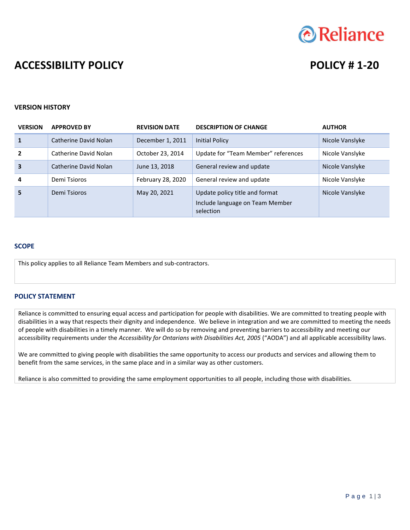

# **ACCESSIBILITY POLICY POLICY # 1-20**

#### **VERSION HISTORY**

| <b>VERSION</b> | <b>APPROVED BY</b>    | <b>REVISION DATE</b> | <b>DESCRIPTION OF CHANGE</b>                                                   | <b>AUTHOR</b>   |
|----------------|-----------------------|----------------------|--------------------------------------------------------------------------------|-----------------|
| 1              | Catherine David Nolan | December 1, 2011     | <b>Initial Policy</b>                                                          | Nicole Vanslyke |
| $\overline{2}$ | Catherine David Nolan | October 23, 2014     | Update for "Team Member" references                                            | Nicole Vanslyke |
| 3              | Catherine David Nolan | June 13, 2018        | General review and update                                                      | Nicole Vanslyke |
| $\overline{a}$ | Demi Tsioros          | February 28, 2020    | General review and update                                                      | Nicole Vanslyke |
| 5              | Demi Tsioros          | May 20, 2021         | Update policy title and format<br>Include language on Team Member<br>selection | Nicole Vanslyke |

#### **SCOPE**

This policy applies to all Reliance Team Members and sub-contractors.

## **POLICY STATEMENT**

Reliance is committed to ensuring equal access and participation for people with disabilities. We are committed to treating people with disabilities in a way that respects their dignity and independence. We believe in integration and we are committed to meeting the needs of people with disabilities in a timely manner. We will do so by removing and preventing barriers to accessibility and meeting our accessibility requirements under the *Accessibility for Ontarians with Disabilities Act, 2005* ("AODA") and all applicable accessibility laws.

We are committed to giving people with disabilities the same opportunity to access our products and services and allowing them to benefit from the same services, in the same place and in a similar way as other customers.

Reliance is also committed to providing the same employment opportunities to all people, including those with disabilities.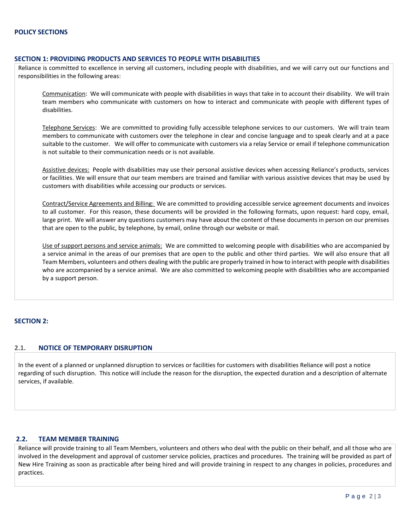#### **SECTION 1: PROVIDING PRODUCTS AND SERVICES TO PEOPLE WITH DISABILITIES**

Reliance is committed to excellence in serving all customers, including people with disabilities, and we will carry out our functions and responsibilities in the following areas:

Communication: We will communicate with people with disabilities in ways that take in to account their disability. We will train team members who communicate with customers on how to interact and communicate with people with different types of disabilities.

Telephone Services: We are committed to providing fully accessible telephone services to our customers. We will train team members to communicate with customers over the telephone in clear and concise language and to speak clearly and at a pace suitable to the customer. We will offer to communicate with customers via a relay Service or email if telephone communication is not suitable to their communication needs or is not available.

Assistive devices: People with disabilities may use their personal assistive devices when accessing Reliance's products, services or facilities. We will ensure that our team members are trained and familiar with various assistive devices that may be used by customers with disabilities while accessing our products or services.

Contract/Service Agreements and Billing: We are committed to providing accessible service agreement documents and invoices to all customer. For this reason, these documents will be provided in the following formats, upon request: hard copy, email, large print. We will answer any questions customers may have about the content of these documents in person on our premises that are open to the public, by telephone, by email, online through our website or mail.

Use of support persons and service animals: We are committed to welcoming people with disabilities who are accompanied by a service animal in the areas of our premises that are open to the public and other third parties. We will also ensure that all Team Members, volunteers and others dealing with the public are properly trained in how to interact with people with disabilities who are accompanied by a service animal. We are also committed to welcoming people with disabilities who are accompanied by a support person.

### **SECTION 2:**

### **2.1. NOTICE OF TEMPORARY DISRUPTION**

In the event of a planned or unplanned disruption to services or facilities for customers with disabilities Reliance will post a notice regarding of such disruption. This notice will include the reason for the disruption, the expected duration and a description of alternate services, if available.

### **2.2. TEAM MEMBER TRAINING**

Reliance will provide training to all Team Members, volunteers and others who deal with the public on their behalf, and all those who are involved in the development and approval of customer service policies, practices and procedures. The training will be provided as part of New Hire Training as soon as practicable after being hired and will provide training in respect to any changes in policies, procedures and practices.